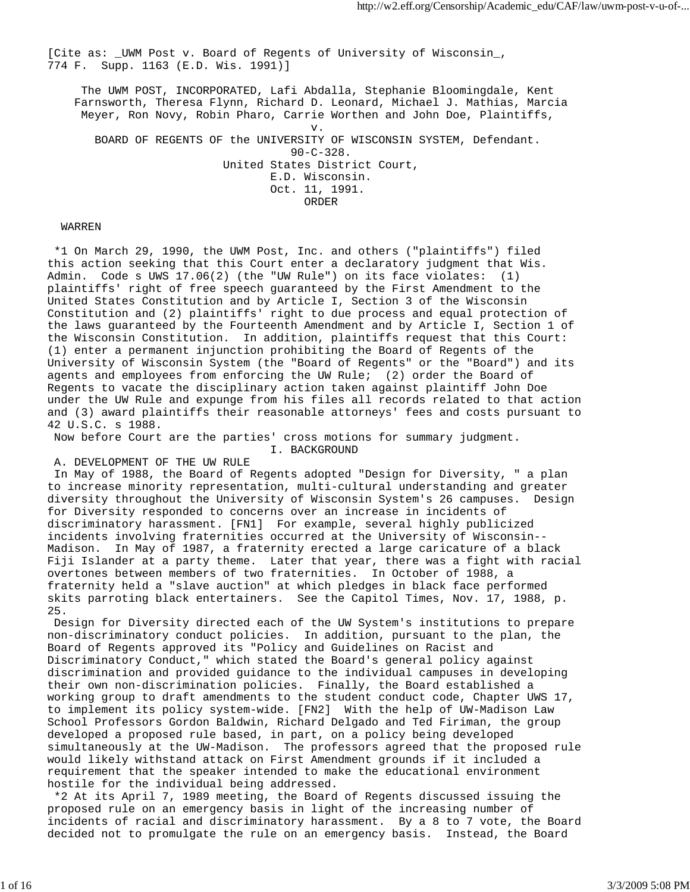[Cite as: \_UWM Post v. Board of Regents of University of Wisconsin\_, 774 F. Supp. 1163 (E.D. Wis. 1991)]

 The UWM POST, INCORPORATED, Lafi Abdalla, Stephanie Bloomingdale, Kent Farnsworth, Theresa Flynn, Richard D. Leonard, Michael J. Mathias, Marcia Meyer, Ron Novy, Robin Pharo, Carrie Worthen and John Doe, Plaintiffs, v. BOARD OF REGENTS OF the UNIVERSITY OF WISCONSIN SYSTEM, Defendant. 90-C-328. United States District Court, E.D. Wisconsin. Oct. 11, 1991. ORDER

## WARREN

 \*1 On March 29, 1990, the UWM Post, Inc. and others ("plaintiffs") filed this action seeking that this Court enter a declaratory judgment that Wis. Admin. Code s UWS 17.06(2) (the "UW Rule") on its face violates: (1) plaintiffs' right of free speech guaranteed by the First Amendment to the United States Constitution and by Article I, Section 3 of the Wisconsin Constitution and (2) plaintiffs' right to due process and equal protection of the laws guaranteed by the Fourteenth Amendment and by Article I, Section 1 of the Wisconsin Constitution. In addition, plaintiffs request that this Court: (1) enter a permanent injunction prohibiting the Board of Regents of the University of Wisconsin System (the "Board of Regents" or the "Board") and its agents and employees from enforcing the UW Rule; (2) order the Board of Regents to vacate the disciplinary action taken against plaintiff John Doe under the UW Rule and expunge from his files all records related to that action and (3) award plaintiffs their reasonable attorneys' fees and costs pursuant to 42 U.S.C. s 1988.

Now before Court are the parties' cross motions for summary judgment.

A. DEVELOPMENT OF THE UW RULE

 In May of 1988, the Board of Regents adopted "Design for Diversity, " a plan to increase minority representation, multi-cultural understanding and greater diversity throughout the University of Wisconsin System's 26 campuses. Design for Diversity responded to concerns over an increase in incidents of discriminatory harassment. [FN1] For example, several highly publicized incidents involving fraternities occurred at the University of Wisconsin-- Madison. In May of 1987, a fraternity erected a large caricature of a black Fiji Islander at a party theme. Later that year, there was a fight with racial overtones between members of two fraternities. In October of 1988, a fraternity held a "slave auction" at which pledges in black face performed skits parroting black entertainers. See the Capitol Times, Nov. 17, 1988, p. 25.

I. BACKGROUND

 Design for Diversity directed each of the UW System's institutions to prepare non-discriminatory conduct policies. In addition, pursuant to the plan, the Board of Regents approved its "Policy and Guidelines on Racist and Discriminatory Conduct," which stated the Board's general policy against discrimination and provided guidance to the individual campuses in developing their own non-discrimination policies. Finally, the Board established a working group to draft amendments to the student conduct code, Chapter UWS 17, to implement its policy system-wide. [FN2] With the help of UW-Madison Law School Professors Gordon Baldwin, Richard Delgado and Ted Firiman, the group developed a proposed rule based, in part, on a policy being developed simultaneously at the UW-Madison. The professors agreed that the proposed rule would likely withstand attack on First Amendment grounds if it included a requirement that the speaker intended to make the educational environment hostile for the individual being addressed.

 \*2 At its April 7, 1989 meeting, the Board of Regents discussed issuing the proposed rule on an emergency basis in light of the increasing number of incidents of racial and discriminatory harassment. By a 8 to 7 vote, the Board decided not to promulgate the rule on an emergency basis. Instead, the Board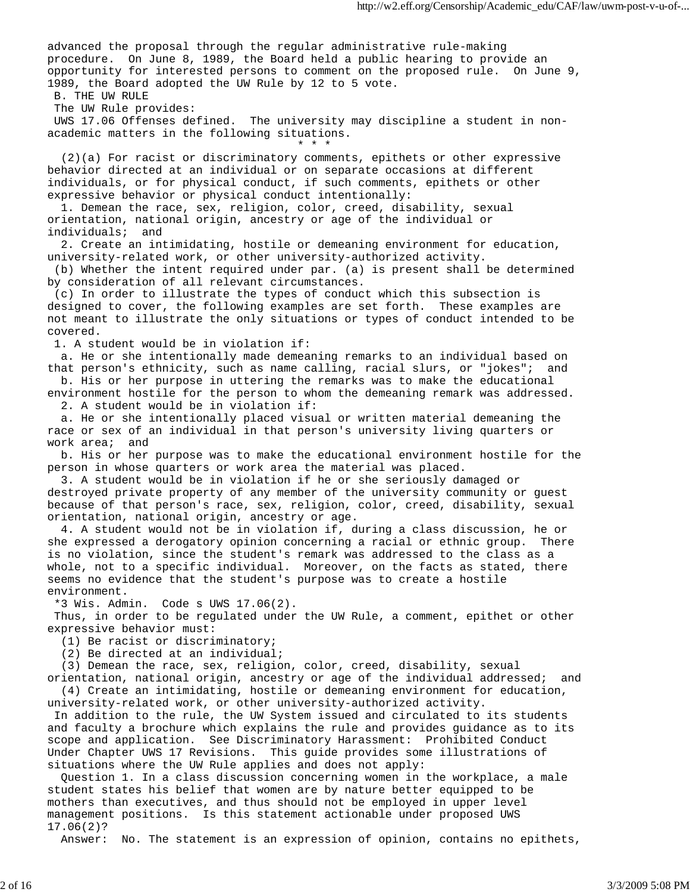advanced the proposal through the regular administrative rule-making procedure. On June 8, 1989, the Board held a public hearing to provide an opportunity for interested persons to comment on the proposed rule. On June 9, 1989, the Board adopted the UW Rule by 12 to 5 vote. B. THE UW RULE

The UW Rule provides:

 UWS 17.06 Offenses defined. The university may discipline a student in nonacademic matters in the following situations.

 \* \* \* (2)(a) For racist or discriminatory comments, epithets or other expressive behavior directed at an individual or on separate occasions at different individuals, or for physical conduct, if such comments, epithets or other expressive behavior or physical conduct intentionally:

 1. Demean the race, sex, religion, color, creed, disability, sexual orientation, national origin, ancestry or age of the individual or individuals; and

 2. Create an intimidating, hostile or demeaning environment for education, university-related work, or other university-authorized activity.

 (b) Whether the intent required under par. (a) is present shall be determined by consideration of all relevant circumstances.

 (c) In order to illustrate the types of conduct which this subsection is designed to cover, the following examples are set forth. These examples are not meant to illustrate the only situations or types of conduct intended to be covered.

1. A student would be in violation if:

 a. He or she intentionally made demeaning remarks to an individual based on that person's ethnicity, such as name calling, racial slurs, or "jokes"; and

 b. His or her purpose in uttering the remarks was to make the educational environment hostile for the person to whom the demeaning remark was addressed. 2. A student would be in violation if:

 a. He or she intentionally placed visual or written material demeaning the race or sex of an individual in that person's university living quarters or work area; and

 b. His or her purpose was to make the educational environment hostile for the person in whose quarters or work area the material was placed.

 3. A student would be in violation if he or she seriously damaged or destroyed private property of any member of the university community or guest because of that person's race, sex, religion, color, creed, disability, sexual orientation, national origin, ancestry or age.

 4. A student would not be in violation if, during a class discussion, he or she expressed a derogatory opinion concerning a racial or ethnic group. There is no violation, since the student's remark was addressed to the class as a whole, not to a specific individual. Moreover, on the facts as stated, there seems no evidence that the student's purpose was to create a hostile environment.

\*3 Wis. Admin. Code s UWS 17.06(2).

 Thus, in order to be regulated under the UW Rule, a comment, epithet or other expressive behavior must:

(1) Be racist or discriminatory;

(2) Be directed at an individual;

(3) Demean the race, sex, religion, color, creed, disability, sexual

orientation, national origin, ancestry or age of the individual addressed; and (4) Create an intimidating, hostile or demeaning environment for education, university-related work, or other university-authorized activity.

 In addition to the rule, the UW System issued and circulated to its students and faculty a brochure which explains the rule and provides guidance as to its scope and application. See Discriminatory Harassment: Prohibited Conduct Under Chapter UWS 17 Revisions. This guide provides some illustrations of situations where the UW Rule applies and does not apply:

 Question 1. In a class discussion concerning women in the workplace, a male student states his belief that women are by nature better equipped to be mothers than executives, and thus should not be employed in upper level management positions. Is this statement actionable under proposed UWS 17.06(2)?

Answer: No. The statement is an expression of opinion, contains no epithets,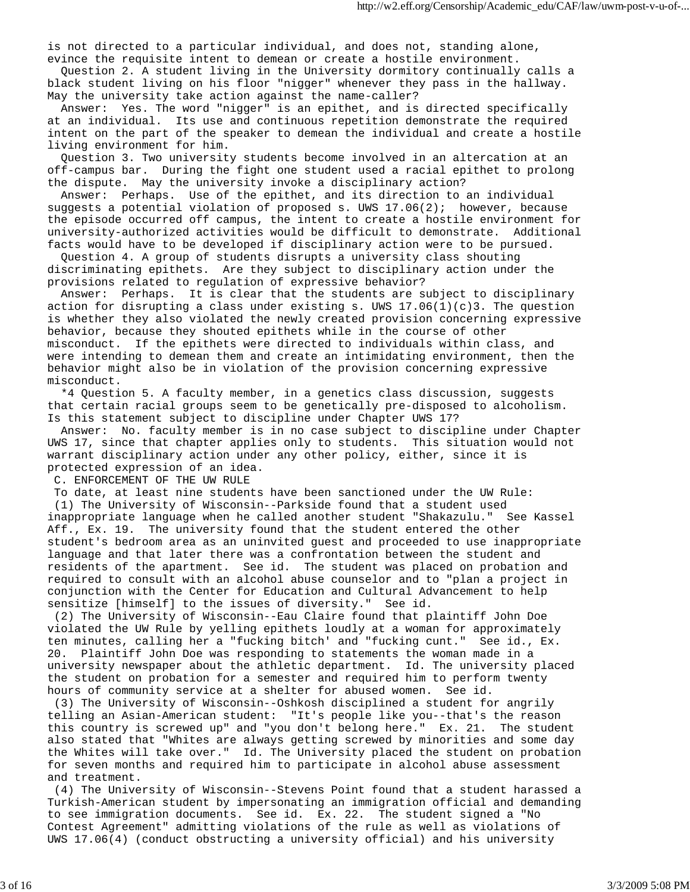is not directed to a particular individual, and does not, standing alone, evince the requisite intent to demean or create a hostile environment.

 Question 2. A student living in the University dormitory continually calls a black student living on his floor "nigger" whenever they pass in the hallway. May the university take action against the name-caller?

 Answer: Yes. The word "nigger" is an epithet, and is directed specifically at an individual. Its use and continuous repetition demonstrate the required intent on the part of the speaker to demean the individual and create a hostile living environment for him.

 Question 3. Two university students become involved in an altercation at an off-campus bar. During the fight one student used a racial epithet to prolong the dispute. May the university invoke a disciplinary action?

 Answer: Perhaps. Use of the epithet, and its direction to an individual suggests a potential violation of proposed s. UWS 17.06(2); however, because the episode occurred off campus, the intent to create a hostile environment for university-authorized activities would be difficult to demonstrate. Additional facts would have to be developed if disciplinary action were to be pursued.

 Question 4. A group of students disrupts a university class shouting discriminating epithets. Are they subject to disciplinary action under the provisions related to regulation of expressive behavior?

 Answer: Perhaps. It is clear that the students are subject to disciplinary action for disrupting a class under existing s. UWS  $17.06(1)(c)3$ . The question is whether they also violated the newly created provision concerning expressive behavior, because they shouted epithets while in the course of other misconduct. If the epithets were directed to individuals within class, and were intending to demean them and create an intimidating environment, then the behavior might also be in violation of the provision concerning expressive misconduct.

 \*4 Question 5. A faculty member, in a genetics class discussion, suggests that certain racial groups seem to be genetically pre-disposed to alcoholism. Is this statement subject to discipline under Chapter UWS 17?

 Answer: No. faculty member is in no case subject to discipline under Chapter UWS 17, since that chapter applies only to students. This situation would not warrant disciplinary action under any other policy, either, since it is protected expression of an idea.

C. ENFORCEMENT OF THE UW RULE

To date, at least nine students have been sanctioned under the UW Rule:

 (1) The University of Wisconsin--Parkside found that a student used inappropriate language when he called another student "Shakazulu." See Kassel Aff., Ex. 19. The university found that the student entered the other student's bedroom area as an uninvited guest and proceeded to use inappropriate language and that later there was a confrontation between the student and residents of the apartment. See id. The student was placed on probation and required to consult with an alcohol abuse counselor and to "plan a project in conjunction with the Center for Education and Cultural Advancement to help sensitize [himself] to the issues of diversity." See id.

 (2) The University of Wisconsin--Eau Claire found that plaintiff John Doe violated the UW Rule by yelling epithets loudly at a woman for approximately ten minutes, calling her a "fucking bitch' and "fucking cunt." See id., Ex. 20. Plaintiff John Doe was responding to statements the woman made in a university newspaper about the athletic department. Id. The university placed the student on probation for a semester and required him to perform twenty hours of community service at a shelter for abused women. See id.

 (3) The University of Wisconsin--Oshkosh disciplined a student for angrily telling an Asian-American student: "It's people like you--that's the reason this country is screwed up" and "you don't belong here." Ex. 21. The student also stated that "Whites are always getting screwed by minorities and some day the Whites will take over." Id. The University placed the student on probation for seven months and required him to participate in alcohol abuse assessment and treatment.

 (4) The University of Wisconsin--Stevens Point found that a student harassed a Turkish-American student by impersonating an immigration official and demanding to see immigration documents. See id. Ex. 22. The student signed a "No Contest Agreement" admitting violations of the rule as well as violations of UWS 17.06(4) (conduct obstructing a university official) and his university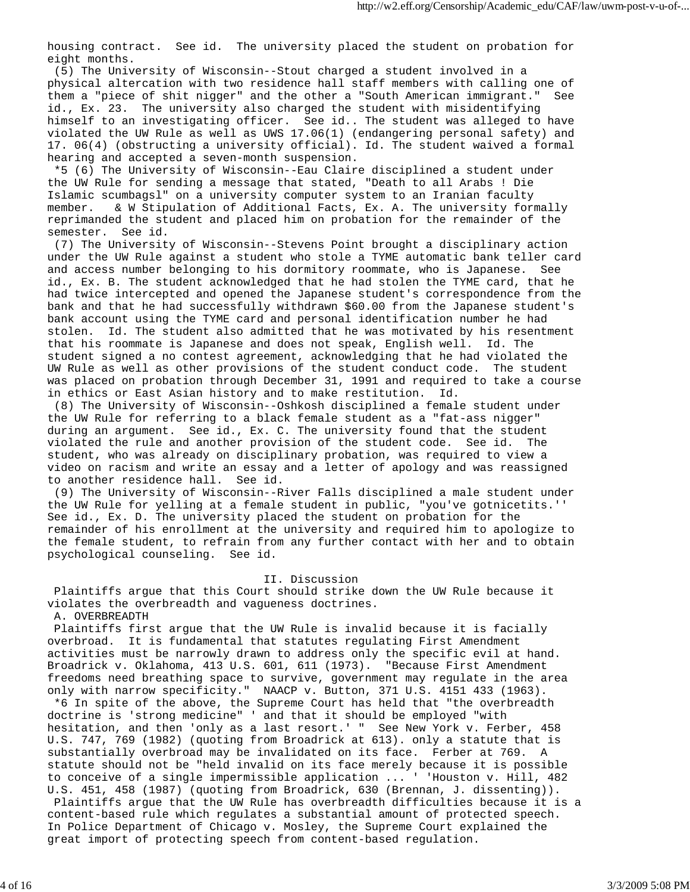housing contract. See id. The university placed the student on probation for eight months.

 (5) The University of Wisconsin--Stout charged a student involved in a physical altercation with two residence hall staff members with calling one of them a "piece of shit nigger" and the other a "South American immigrant." See id., Ex. 23. The university also charged the student with misidentifying himself to an investigating officer. See id.. The student was alleged to have violated the UW Rule as well as UWS 17.06(1) (endangering personal safety) and 17. 06(4) (obstructing a university official). Id. The student waived a formal hearing and accepted a seven-month suspension.

 \*5 (6) The University of Wisconsin--Eau Claire disciplined a student under the UW Rule for sending a message that stated, "Death to all Arabs ! Die Islamic scumbagsl" on a university computer system to an Iranian faculty member. & W Stipulation of Additional Facts, Ex. A. The university formally reprimanded the student and placed him on probation for the remainder of the semester. See id.

 (7) The University of Wisconsin--Stevens Point brought a disciplinary action under the UW Rule against a student who stole a TYME automatic bank teller card and access number belonging to his dormitory roommate, who is Japanese. See id., Ex. B. The student acknowledged that he had stolen the TYME card, that he had twice intercepted and opened the Japanese student's correspondence from the bank and that he had successfully withdrawn \$60.00 from the Japanese student's bank account using the TYME card and personal identification number he had stolen. Id. The student also admitted that he was motivated by his resentment that his roommate is Japanese and does not speak, English well. Id. The student signed a no contest agreement, acknowledging that he had violated the UW Rule as well as other provisions of the student conduct code. The student was placed on probation through December 31, 1991 and required to take a course in ethics or East Asian history and to make restitution. Id.

 (8) The University of Wisconsin--Oshkosh disciplined a female student under the UW Rule for referring to a black female student as a "fat-ass nigger" during an argument. See id., Ex. C. The university found that the student violated the rule and another provision of the student code. See id. The student, who was already on disciplinary probation, was required to view a video on racism and write an essay and a letter of apology and was reassigned to another residence hall. See id.

 (9) The University of Wisconsin--River Falls disciplined a male student under the UW Rule for yelling at a female student in public, "you've gotnicetits.'' See id., Ex. D. The university placed the student on probation for the remainder of his enrollment at the university and required him to apologize to the female student, to refrain from any further contact with her and to obtain psychological counseling. See id.

## II. Discussion

 Plaintiffs argue that this Court should strike down the UW Rule because it violates the overbreadth and vagueness doctrines.

A. OVERBREADTH

 Plaintiffs first argue that the UW Rule is invalid because it is facially overbroad. It is fundamental that statutes regulating First Amendment activities must be narrowly drawn to address only the specific evil at hand. Broadrick v. Oklahoma, 413 U.S. 601, 611 (1973). "Because First Amendment freedoms need breathing space to survive, government may regulate in the area only with narrow specificity." NAACP v. Button, 371 U.S. 4151 433 (1963). \*6 In spite of the above, the Supreme Court has held that "the overbreadth doctrine is 'strong medicine" ' and that it should be employed "with hesitation, and then 'only as a last resort.' " See New York v. Ferber, 458 U.S. 747, 769 (1982) (quoting from Broadrick at 613). only a statute that is substantially overbroad may be invalidated on its face. Ferber at 769. A statute should not be "held invalid on its face merely because it is possible to conceive of a single impermissible application ... ' 'Houston v. Hill, 482 U.S. 451, 458 (1987) (quoting from Broadrick, 630 (Brennan, J. dissenting)). Plaintiffs argue that the UW Rule has overbreadth difficulties because it is a content-based rule which regulates a substantial amount of protected speech. In Police Department of Chicago v. Mosley, the Supreme Court explained the great import of protecting speech from content-based regulation.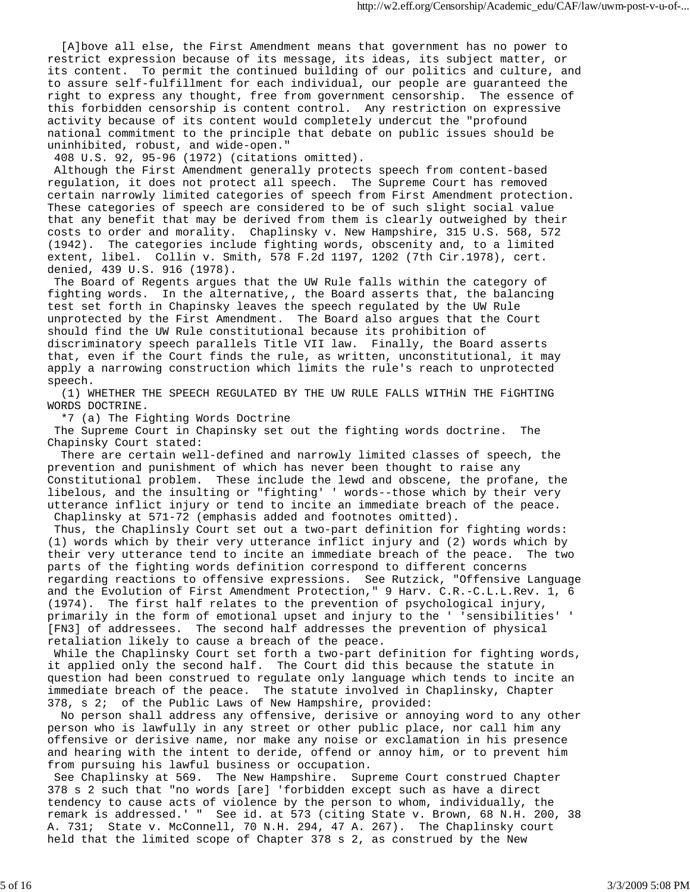[A]bove all else, the First Amendment means that government has no power to restrict expression because of its message, its ideas, its subject matter, or its content. To permit the continued building of our politics and culture, and to assure self-fulfillment for each individual, our people are guaranteed the right to express any thought, free from government censorship. The essence of this forbidden censorship is content control. Any restriction on expressive activity because of its content would completely undercut the "profound national commitment to the principle that debate on public issues should be uninhibited, robust, and wide-open."

408 U.S. 92, 95-96 (1972) (citations omitted).

 Although the First Amendment generally protects speech from content-based regulation, it does not protect all speech. The Supreme Court has removed certain narrowly limited categories of speech from First Amendment protection. These categories of speech are considered to be of such slight social value that any benefit that may be derived from them is clearly outweighed by their costs to order and morality. Chaplinsky v. New Hampshire, 315 U.S. 568, 572 (1942). The categories include fighting words, obscenity and, to a limited extent, libel. Collin v. Smith, 578 F.2d 1197, 1202 (7th Cir.1978), cert. denied, 439 U.S. 916 (1978).

 The Board of Regents argues that the UW Rule falls within the category of fighting words. In the alternative,, the Board asserts that, the balancing test set forth in Chapinsky leaves the speech regulated by the UW Rule unprotected by the First Amendment. The Board also argues that the Court should find the UW Rule constitutional because its prohibition of discriminatory speech parallels Title VII law. Finally, the Board asserts that, even if the Court finds the rule, as written, unconstitutional, it may apply a narrowing construction which limits the rule's reach to unprotected speech.

 (1) WHETHER THE SPEECH REGULATED BY THE UW RULE FALLS WITHiN THE FiGHTING WORDS DOCTRINE.

\*7 (a) The Fighting Words Doctrine

 The Supreme Court in Chapinsky set out the fighting words doctrine. The Chapinsky Court stated:

 There are certain well-defined and narrowly limited classes of speech, the prevention and punishment of which has never been thought to raise any Constitutional problem. These include the lewd and obscene, the profane, the libelous, and the insulting or "fighting' ' words--those which by their very utterance inflict injury or tend to incite an immediate breach of the peace. Chaplinsky at 571-72 (emphasis added and footnotes omitted).

 Thus, the Chaplinsly Court set out a two-part definition for fighting words: (1) words which by their very utterance inflict injury and (2) words which by their very utterance tend to incite an immediate breach of the peace. The two parts of the fighting words definition correspond to different concerns regarding reactions to offensive expressions. See Rutzick, "Offensive Language and the Evolution of First Amendment Protection," 9 Harv. C.R.-C.L.L.Rev. 1, 6 (1974). The first half relates to the prevention of psychological injury, primarily in the form of emotional upset and injury to the ' 'sensibilities' ' [FN3] of addressees. The second half addresses the prevention of physical retaliation likely to cause a breach of the peace.

 While the Chaplinsky Court set forth a two-part definition for fighting words, it applied only the second half. The Court did this because the statute in question had been construed to regulate only language which tends to incite an immediate breach of the peace. The statute involved in Chaplinsky, Chapter 378, s 2; of the Public Laws of New Hampshire, provided:

 No person shall address any offensive, derisive or annoying word to any other person who is lawfully in any street or other public place, nor call him any offensive or derisive name, nor make any noise or exclamation in his presence and hearing with the intent to deride, offend or annoy him, or to prevent him from pursuing his lawful business or occupation.

 See Chaplinsky at 569. The New Hampshire. Supreme Court construed Chapter 378 s 2 such that "no words [are] 'forbidden except such as have a direct tendency to cause acts of violence by the person to whom, individually, the remark is addressed.' " See id. at 573 (citing State v. Brown, 68 N.H. 200, 38 A. 731; State v. McConnell, 70 N.H. 294, 47 A. 267). The Chaplinsky court held that the limited scope of Chapter 378 s 2, as construed by the New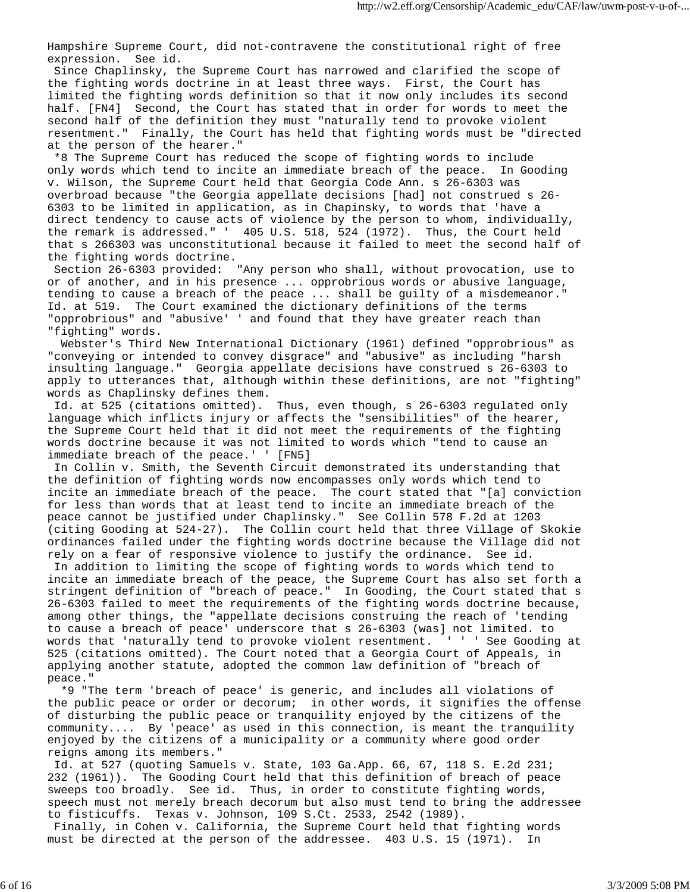Hampshire Supreme Court, did not-contravene the constitutional right of free expression. See id.

 Since Chaplinsky, the Supreme Court has narrowed and clarified the scope of the fighting words doctrine in at least three ways. First, the Court has limited the fighting words definition so that it now only includes its second half. [FN4] Second, the Court has stated that in order for words to meet the second half of the definition they must "naturally tend to provoke violent resentment." Finally, the Court has held that fighting words must be "directed at the person of the hearer."

 \*8 The Supreme Court has reduced the scope of fighting words to include only words which tend to incite an immediate breach of the peace. In Gooding v. Wilson, the Supreme Court held that Georgia Code Ann. s 26-6303 was overbroad because "the Georgia appellate decisions [had] not construed s 26- 6303 to be limited in application, as in Chapinsky, to words that 'have a direct tendency to cause acts of violence by the person to whom, individually, the remark is addressed." ' 405 U.S. 518, 524 (1972). Thus, the Court held that s 266303 was unconstitutional because it failed to meet the second half of the fighting words doctrine.

 Section 26-6303 provided: "Any person who shall, without provocation, use to or of another, and in his presence ... opprobrious words or abusive language, tending to cause a breach of the peace ... shall be guilty of a misdemeanor." Id. at 519. The Court examined the dictionary definitions of the terms "opprobrious" and "abusive' ' and found that they have greater reach than "fighting" words.

 Webster's Third New International Dictionary (1961) defined "opprobrious" as "conveying or intended to convey disgrace" and "abusive" as including "harsh insulting language." Georgia appellate decisions have construed s 26-6303 to apply to utterances that, although within these definitions, are not "fighting" words as Chaplinsky defines them.

 Id. at 525 (citations omitted). Thus, even though, s 26-6303 regulated only language which inflicts injury or affects the "sensibilities" of the hearer, the Supreme Court held that it did not meet the requirements of the fighting words doctrine because it was not limited to words which "tend to cause an immediate breach of the peace.' ' [FN5]

 In Collin v. Smith, the Seventh Circuit demonstrated its understanding that the definition of fighting words now encompasses only words which tend to incite an immediate breach of the peace. The court stated that "[a] conviction for less than words that at least tend to incite an immediate breach of the peace cannot be justified under Chaplinsky." See Collin 578 F.2d at 1203 (citing Gooding at 524-27). The Collin court held that three Village of Skokie ordinances failed under the fighting words doctrine because the Village did not rely on a fear of responsive violence to justify the ordinance. See id.

 In addition to limiting the scope of fighting words to words which tend to incite an immediate breach of the peace, the Supreme Court has also set forth a stringent definition of "breach of peace." In Gooding, the Court stated that s 26-6303 failed to meet the requirements of the fighting words doctrine because, among other things, the "appellate decisions construing the reach of 'tending to cause a breach of peace' underscore that s 26-6303 (was] not limited. to words that 'naturally tend to provoke violent resentment. ' ' ' See Gooding at 525 (citations omitted). The Court noted that a Georgia Court of Appeals, in applying another statute, adopted the common law definition of "breach of peace."

 \*9 "The term 'breach of peace' is generic, and includes all violations of the public peace or order or decorum; in other words, it signifies the offense of disturbing the public peace or tranquility enjoyed by the citizens of the community.... By 'peace' as used in this connection, is meant the tranquility enjoyed by the citizens of a municipality or a community where good order reigns among its members."

 Id. at 527 (quoting Samuels v. State, 103 Ga.App. 66, 67, 118 S. E.2d 231; 232 (1961)). The Gooding Court held that this definition of breach of peace sweeps too broadly. See id. Thus, in order to constitute fighting words, speech must not merely breach decorum but also must tend to bring the addressee to fisticuffs. Texas v. Johnson, 109 S.Ct. 2533, 2542 (1989).

 Finally, in Cohen v. California, the Supreme Court held that fighting words must be directed at the person of the addressee. 403 U.S. 15 (1971). In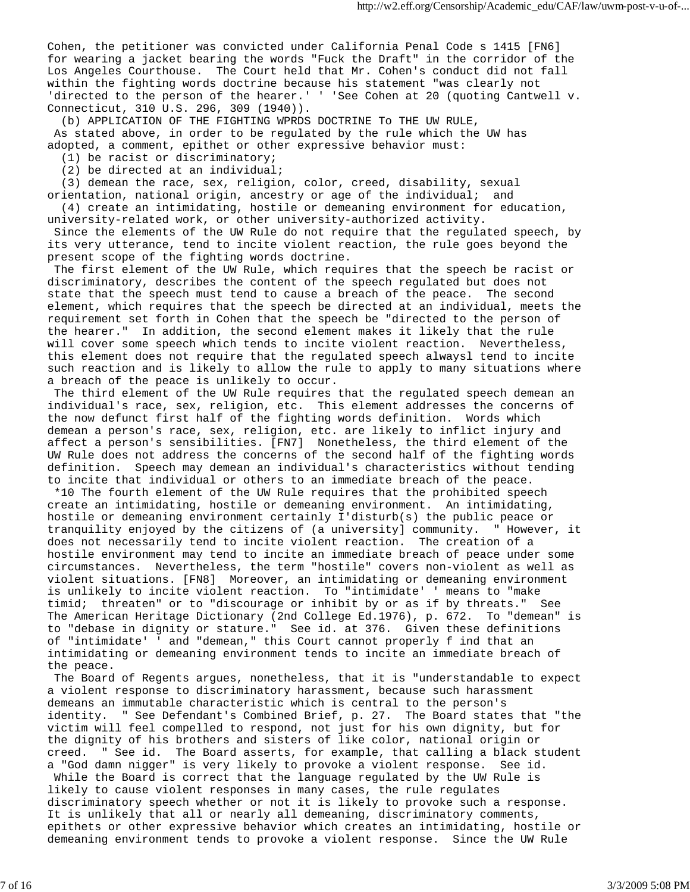Cohen, the petitioner was convicted under California Penal Code s 1415 [FN6] for wearing a jacket bearing the words "Fuck the Draft" in the corridor of the Los Angeles Courthouse. The Court held that Mr. Cohen's conduct did not fall within the fighting words doctrine because his statement "was clearly not 'directed to the person of the hearer.' ' 'See Cohen at 20 (quoting Cantwell v. Connecticut, 310 U.S. 296, 309 (1940)).

 (b) APPLICATION OF THE FIGHTING WPRDS DOCTRINE To THE UW RULE, As stated above, in order to be regulated by the rule which the UW has adopted, a comment, epithet or other expressive behavior must:

(1) be racist or discriminatory;

(2) be directed at an individual;

 (3) demean the race, sex, religion, color, creed, disability, sexual orientation, national origin, ancestry or age of the individual; and

 (4) create an intimidating, hostile or demeaning environment for education, university-related work, or other university-authorized activity.

 Since the elements of the UW Rule do not require that the regulated speech, by its very utterance, tend to incite violent reaction, the rule goes beyond the present scope of the fighting words doctrine.

 The first element of the UW Rule, which requires that the speech be racist or discriminatory, describes the content of the speech regulated but does not state that the speech must tend to cause a breach of the peace. The second element, which requires that the speech be directed at an individual, meets the requirement set forth in Cohen that the speech be "directed to the person of the hearer." In addition, the second element makes it likely that the rule will cover some speech which tends to incite violent reaction. Nevertheless, this element does not require that the regulated speech alwaysl tend to incite such reaction and is likely to allow the rule to apply to many situations where a breach of the peace is unlikely to occur.

 The third element of the UW Rule requires that the regulated speech demean an individual's race, sex, religion, etc. This element addresses the concerns of the now defunct first half of the fighting words definition. Words which demean a person's race, sex, religion, etc. are likely to inflict injury and affect a person's sensibilities. [FN7] Nonetheless, the third element of the UW Rule does not address the concerns of the second half of the fighting words definition. Speech may demean an individual's characteristics without tending to incite that individual or others to an immediate breach of the peace.

 \*10 The fourth element of the UW Rule requires that the prohibited speech create an intimidating, hostile or demeaning environment. An intimidating, hostile or demeaning environment certainly I'disturb(s) the public peace or tranquility enjoyed by the citizens of (a university] community. " However, it does not necessarily tend to incite violent reaction. The creation of a hostile environment may tend to incite an immediate breach of peace under some circumstances. Nevertheless, the term "hostile" covers non-violent as well as violent situations. [FN8] Moreover, an intimidating or demeaning environment is unlikely to incite violent reaction. To "intimidate' ' means to "make timid; threaten" or to "discourage or inhibit by or as if by threats." See The American Heritage Dictionary (2nd College Ed.1976), p. 672. To "demean" is to "debase in dignity or stature." See id. at 376. Given these definitions of "intimidate' ' and "demean," this Court cannot properly f ind that an intimidating or demeaning environment tends to incite an immediate breach of the peace.

 The Board of Regents argues, nonetheless, that it is "understandable to expect a violent response to discriminatory harassment, because such harassment demeans an immutable characteristic which is central to the person's identity. " See Defendant's Combined Brief, p. 27. The Board states that "the victim will feel compelled to respond, not just for his own dignity, but for the dignity of his brothers and sisters of like color, national origin or creed. " See id. The Board asserts, for example, that calling a black student a "God damn nigger" is very likely to provoke a violent response. See id. While the Board is correct that the language regulated by the UW Rule is likely to cause violent responses in many cases, the rule regulates discriminatory speech whether or not it is likely to provoke such a response. It is unlikely that all or nearly all demeaning, discriminatory comments, epithets or other expressive behavior which creates an intimidating, hostile or demeaning environment tends to provoke a violent response. Since the UW Rule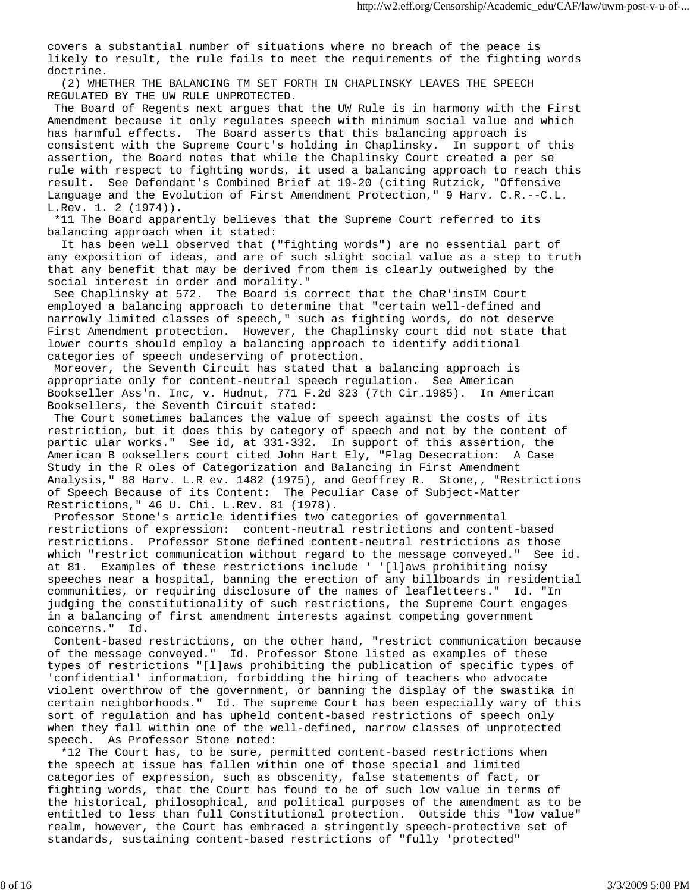covers a substantial number of situations where no breach of the peace is likely to result, the rule fails to meet the requirements of the fighting words doctrine.

 (2) WHETHER THE BALANCING TM SET FORTH IN CHAPLINSKY LEAVES THE SPEECH REGULATED BY THE UW RULE UNPROTECTED.

 The Board of Regents next argues that the UW Rule is in harmony with the First Amendment because it only regulates speech with minimum social value and which has harmful effects. The Board asserts that this balancing approach is consistent with the Supreme Court's holding in Chaplinsky. In support of this assertion, the Board notes that while the Chaplinsky Court created a per se rule with respect to fighting words, it used a balancing approach to reach this result. See Defendant's Combined Brief at 19-20 (citing Rutzick, "Offensive Language and the Evolution of First Amendment Protection," 9 Harv. C.R.--C.L. L.Rev. 1. 2 (1974)).

 \*11 The Board apparently believes that the Supreme Court referred to its balancing approach when it stated:

 It has been well observed that ("fighting words") are no essential part of any exposition of ideas, and are of such slight social value as a step to truth that any benefit that may be derived from them is clearly outweighed by the social interest in order and morality."

 See Chaplinsky at 572. The Board is correct that the ChaR'insIM Court employed a balancing approach to determine that "certain well-defined and narrowly limited classes of speech," such as fighting words, do not deserve First Amendment protection. However, the Chaplinsky court did not state that lower courts should employ a balancing approach to identify additional categories of speech undeserving of protection.

 Moreover, the Seventh Circuit has stated that a balancing approach is appropriate only for content-neutral speech regulation. See American Bookseller Ass'n. Inc, v. Hudnut, 771 F.2d 323 (7th Cir.1985). In American Booksellers, the Seventh Circuit stated:

 The Court sometimes balances the value of speech against the costs of its restriction, but it does this by category of speech and not by the content of partic ular works." See id, at 331-332. In support of this assertion, the American B ooksellers court cited John Hart Ely, "Flag Desecration: A Case Study in the R oles of Categorization and Balancing in First Amendment Analysis," 88 Harv. L.R ev. 1482 (1975), and Geoffrey R. Stone,, "Restrictions of Speech Because of its Content: The Peculiar Case of Subject-Matter Restrictions," 46 U. Chi. L.Rev. 81 (1978).

 Professor Stone's article identifies two categories of governmental restrictions of expression: content-neutral restrictions and content-based restrictions. Professor Stone defined content-neutral restrictions as those which "restrict communication without regard to the message conveyed." See id. at 81. Examples of these restrictions include ' '[l]aws prohibiting noisy speeches near a hospital, banning the erection of any billboards in residential communities, or requiring disclosure of the names of leafletteers." Id. "In judging the constitutionality of such restrictions, the Supreme Court engages in a balancing of first amendment interests against competing government concerns." Id.

 Content-based restrictions, on the other hand, "restrict communication because of the message conveyed." Id. Professor Stone listed as examples of these types of restrictions "[l]aws prohibiting the publication of specific types of 'confidential' information, forbidding the hiring of teachers who advocate violent overthrow of the government, or banning the display of the swastika in certain neighborhoods." Id. The supreme Court has been especially wary of this sort of regulation and has upheld content-based restrictions of speech only when they fall within one of the well-defined, narrow classes of unprotected speech. As Professor Stone noted:

 \*12 The Court has, to be sure, permitted content-based restrictions when the speech at issue has fallen within one of those special and limited categories of expression, such as obscenity, false statements of fact, or fighting words, that the Court has found to be of such low value in terms of the historical, philosophical, and political purposes of the amendment as to be entitled to less than full Constitutional protection. Outside this "low value" realm, however, the Court has embraced a stringently speech-protective set of standards, sustaining content-based restrictions of "fully 'protected"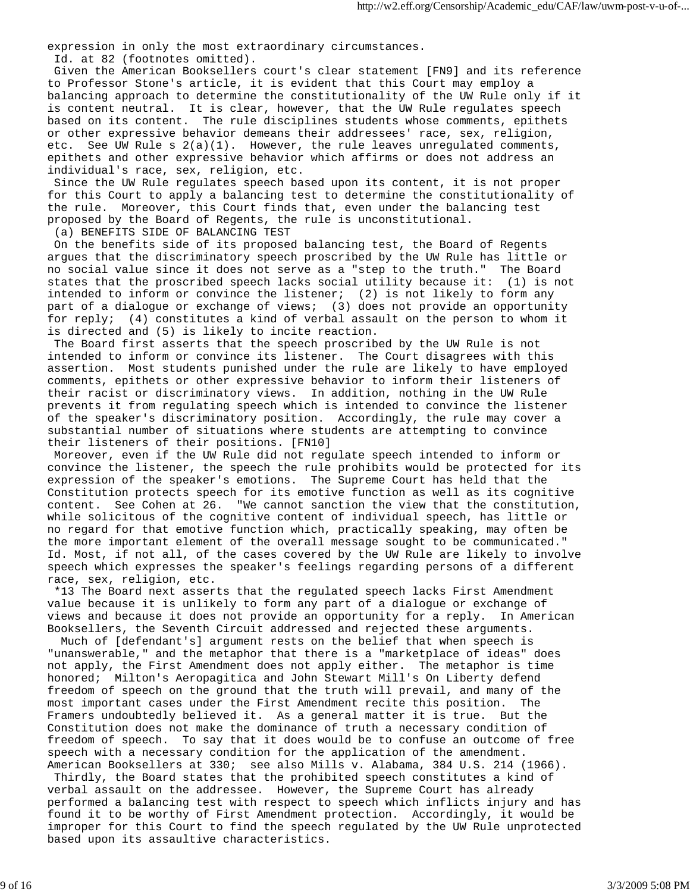expression in only the most extraordinary circumstances.

Id. at 82 (footnotes omitted).

 Given the American Booksellers court's clear statement [FN9] and its reference to Professor Stone's article, it is evident that this Court may employ a balancing approach to determine the constitutionality of the UW Rule only if it is content neutral. It is clear, however, that the UW Rule regulates speech based on its content. The rule disciplines students whose comments, epithets or other expressive behavior demeans their addressees' race, sex, religion, etc. See UW Rule  $s$  2(a)(1). However, the rule leaves unregulated comments, epithets and other expressive behavior which affirms or does not address an individual's race, sex, religion, etc.

 Since the UW Rule regulates speech based upon its content, it is not proper for this Court to apply a balancing test to determine the constitutionality of the rule. Moreover, this Court finds that, even under the balancing test proposed by the Board of Regents, the rule is unconstitutional.

(a) BENEFITS SIDE OF BALANCING TEST

 On the benefits side of its proposed balancing test, the Board of Regents argues that the discriminatory speech proscribed by the UW Rule has little or no social value since it does not serve as a "step to the truth." The Board states that the proscribed speech lacks social utility because it: (1) is not intended to inform or convince the listener; (2) is not likely to form any part of a dialogue or exchange of views; (3) does not provide an opportunity for reply; (4) constitutes a kind of verbal assault on the person to whom it is directed and (5) is likely to incite reaction.

 The Board first asserts that the speech proscribed by the UW Rule is not intended to inform or convince its listener. The Court disagrees with this assertion. Most students punished under the rule are likely to have employed comments, epithets or other expressive behavior to inform their listeners of their racist or discriminatory views. In addition, nothing in the UW Rule prevents it from regulating speech which is intended to convince the listener of the speaker's discriminatory position. Accordingly, the rule may cover a substantial number of situations where students are attempting to convince their listeners of their positions. [FN10]

 Moreover, even if the UW Rule did not regulate speech intended to inform or convince the listener, the speech the rule prohibits would be protected for its expression of the speaker's emotions. The Supreme Court has held that the Constitution protects speech for its emotive function as well as its cognitive content. See Cohen at 26. "We cannot sanction the view that the constitution, while solicitous of the cognitive content of individual speech, has little or no regard for that emotive function which, practically speaking, may often be the more important element of the overall message sought to be communicated." Id. Most, if not all, of the cases covered by the UW Rule are likely to involve speech which expresses the speaker's feelings regarding persons of a different race, sex, religion, etc.

 \*13 The Board next asserts that the regulated speech lacks First Amendment value because it is unlikely to form any part of a dialogue or exchange of views and because it does not provide an opportunity for a reply. In American Booksellers, the Seventh Circuit addressed and rejected these arguments.

 Much of [defendant's] argument rests on the belief that when speech is "unanswerable," and the metaphor that there is a "marketplace of ideas" does not apply, the First Amendment does not apply either. The metaphor is time honored; Milton's Aeropagitica and John Stewart Mill's On Liberty defend freedom of speech on the ground that the truth will prevail, and many of the most important cases under the First Amendment recite this position. The Framers undoubtedly believed it. As a general matter it is true. But the Constitution does not make the dominance of truth a necessary condition of freedom of speech. To say that it does would be to confuse an outcome of free speech with a necessary condition for the application of the amendment. American Booksellers at 330; see also Mills v. Alabama, 384 U.S. 214 (1966).

 Thirdly, the Board states that the prohibited speech constitutes a kind of verbal assault on the addressee. However, the Supreme Court has already performed a balancing test with respect to speech which inflicts injury and has found it to be worthy of First Amendment protection. Accordingly, it would be improper for this Court to find the speech regulated by the UW Rule unprotected based upon its assaultive characteristics.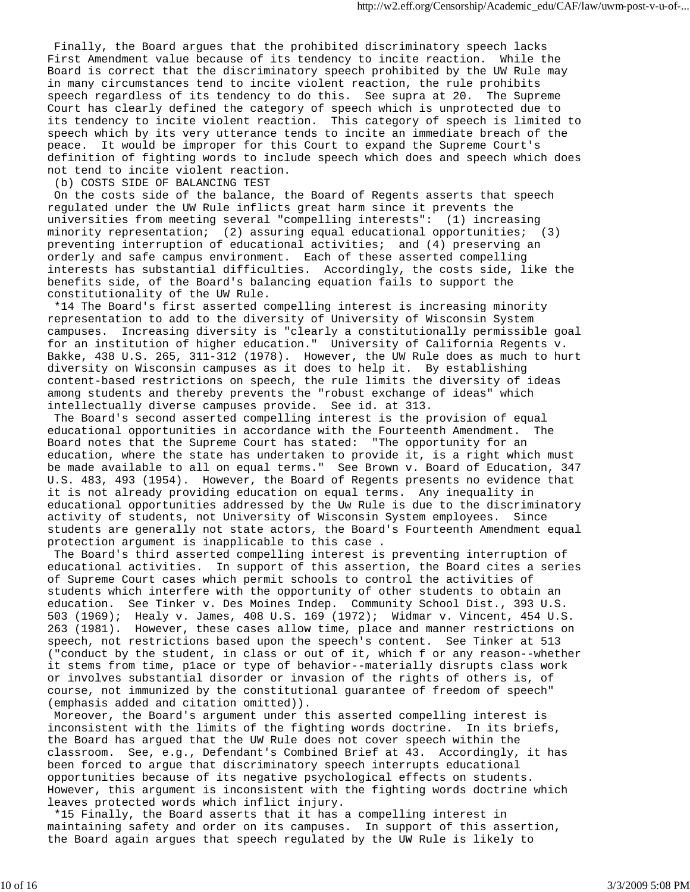Finally, the Board argues that the prohibited discriminatory speech lacks First Amendment value because of its tendency to incite reaction. While the Board is correct that the discriminatory speech prohibited by the UW Rule may in many circumstances tend to incite violent reaction, the rule prohibits speech regardless of its tendency to do this. See supra at 20. The Supreme Court has clearly defined the category of speech which is unprotected due to its tendency to incite violent reaction. This category of speech is limited to speech which by its very utterance tends to incite an immediate breach of the peace. It would be improper for this Court to expand the Supreme Court's definition of fighting words to include speech which does and speech which does not tend to incite violent reaction.

(b) COSTS SIDE OF BALANCING TEST

 On the costs side of the balance, the Board of Regents asserts that speech regulated under the UW Rule inflicts great harm since it prevents the universities from meeting several "compelling interests": (1) increasing minority representation; (2) assuring equal educational opportunities; (3) preventing interruption of educational activities; and (4) preserving an orderly and safe campus environment. Each of these asserted compelling interests has substantial difficulties. Accordingly, the costs side, like the benefits side, of the Board's balancing equation fails to support the constitutionality of the UW Rule.

 \*14 The Board's first asserted compelling interest is increasing minority representation to add to the diversity of University of Wisconsin System campuses. Increasing diversity is "clearly a constitutionally permissible goal for an institution of higher education." University of California Regents v. Bakke, 438 U.S. 265, 311-312 (1978). However, the UW Rule does as much to hurt diversity on Wisconsin campuses as it does to help it. By establishing content-based restrictions on speech, the rule limits the diversity of ideas among students and thereby prevents the "robust exchange of ideas" which intellectually diverse campuses provide. See id. at 313.

 The Board's second asserted compelling interest is the provision of equal educational opportunities in accordance with the Fourteenth Amendment. The Board notes that the Supreme Court has stated: "The opportunity for an education, where the state has undertaken to provide it, is a right which must be made available to all on equal terms." See Brown v. Board of Education, 347 U.S. 483, 493 (1954). However, the Board of Regents presents no evidence that it is not already providing education on equal terms. Any inequality in educational opportunities addressed by the Uw Rule is due to the discriminatory activity of students, not University of Wisconsin System employees. Since students are generally not state actors, the Board's Fourteenth Amendment equal protection argument is inapplicable to this case .

 The Board's third asserted compelling interest is preventing interruption of educational activities. In support of this assertion, the Board cites a series of Supreme Court cases which permit schools to control the activities of students which interfere with the opportunity of other students to obtain an education. See Tinker v. Des Moines Indep. Community School Dist., 393 U.S. 503 (1969); Healy v. James, 408 U.S. 169 (1972); Widmar v. Vincent, 454 U.S. 263 (1981). However, these cases allow time, place and manner restrictions on speech, not restrictions based upon the speech's content. See Tinker at 513 ("conduct by the student, in class or out of it, which f or any reason--whether it stems from time, p1ace or type of behavior--materially disrupts class work or involves substantial disorder or invasion of the rights of others is, of course, not immunized by the constitutional guarantee of freedom of speech" (emphasis added and citation omitted)).

 Moreover, the Board's argument under this asserted compelling interest is inconsistent with the limits of the fighting words doctrine. In its briefs, the Board has argued that the UW Rule does not cover speech within the classroom. See, e.g., Defendant's Combined Brief at 43. Accordingly, it has been forced to argue that discriminatory speech interrupts educational opportunities because of its negative psychological effects on students. However, this argument is inconsistent with the fighting words doctrine which leaves protected words which inflict injury.

 \*15 Finally, the Board asserts that it has a compelling interest in maintaining safety and order on its campuses. In support of this assertion, the Board again argues that speech regulated by the UW Rule is likely to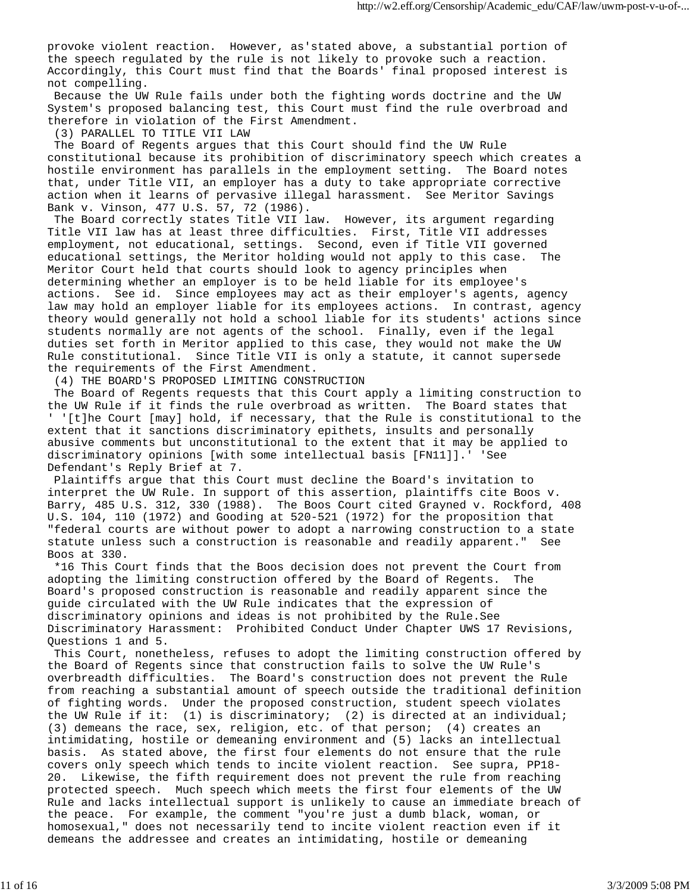provoke violent reaction. However, as'stated above, a substantial portion of the speech regulated by the rule is not likely to provoke such a reaction. Accordingly, this Court must find that the Boards' final proposed interest is not compelling.

 Because the UW Rule fails under both the fighting words doctrine and the UW System's proposed balancing test, this Court must find the rule overbroad and therefore in violation of the First Amendment.

(3) PARALLEL TO TITLE VII LAW

 The Board of Regents argues that this Court should find the UW Rule constitutional because its prohibition of discriminatory speech which creates a hostile environment has parallels in the employment setting. The Board notes that, under Title VII, an employer has a duty to take appropriate corrective action when it learns of pervasive illegal harassment. See Meritor Savings Bank v. Vinson, 477 U.S. 57, 72 (1986).

 The Board correctly states Title VII law. However, its argument regarding Title VII law has at least three difficulties. First, Title VII addresses employment, not educational, settings. Second, even if Title VII governed educational settings, the Meritor holding would not apply to this case. The Meritor Court held that courts should look to agency principles when determining whether an employer is to be held liable for its employee's actions. See id. Since employees may act as their employer's agents, agency law may hold an employer liable for its employees actions. In contrast, agency theory would generally not hold a school liable for its students' actions since students normally are not agents of the school. Finally, even if the legal duties set forth in Meritor applied to this case, they would not make the UW Rule constitutional. Since Title VII is only a statute, it cannot supersede the requirements of the First Amendment.

(4) THE BOARD'S PROPOSED LIMITING CONSTRUCTION

 The Board of Regents requests that this Court apply a limiting construction to the UW Rule if it finds the rule overbroad as written. The Board states that ' '[t]he Court [may] hold, if necessary, that the Rule is constitutional to the extent that it sanctions discriminatory epithets, insults and personally abusive comments but unconstitutional to the extent that it may be applied to discriminatory opinions [with some intellectual basis [FN11]].' 'See Defendant's Reply Brief at 7.

 Plaintiffs argue that this Court must decline the Board's invitation to interpret the UW Rule. In support of this assertion, plaintiffs cite Boos v. Barry, 485 U.S. 312, 330 (1988). The Boos Court cited Grayned v. Rockford, 408 U.S. 104, 110 (1972) and Gooding at 520-521 (1972) for the proposition that "federal courts are without power to adopt a narrowing construction to a state statute unless such a construction is reasonable and readily apparent." See Boos at 330.

 \*16 This Court finds that the Boos decision does not prevent the Court from adopting the limiting construction offered by the Board of Regents. The Board's proposed construction is reasonable and readily apparent since the guide circulated with the UW Rule indicates that the expression of discriminatory opinions and ideas is not prohibited by the Rule.See Discriminatory Harassment: Prohibited Conduct Under Chapter UWS 17 Revisions, Questions 1 and 5.

 This Court, nonetheless, refuses to adopt the limiting construction offered by the Board of Regents since that construction fails to solve the UW Rule's overbreadth difficulties. The Board's construction does not prevent the Rule from reaching a substantial amount of speech outside the traditional definition of fighting words. Under the proposed construction, student speech violates the UW Rule if it: (1) is discriminatory; (2) is directed at an individual; (3) demeans the race, sex, religion, etc. of that person; (4) creates an intimidating, hostile or demeaning environment and (5) lacks an intellectual basis. As stated above, the first four elements do not ensure that the rule covers only speech which tends to incite violent reaction. See supra, PP18- 20. Likewise, the fifth requirement does not prevent the rule from reaching protected speech. Much speech which meets the first four elements of the UW Rule and lacks intellectual support is unlikely to cause an immediate breach of the peace. For example, the comment "you're just a dumb black, woman, or homosexual," does not necessarily tend to incite violent reaction even if it demeans the addressee and creates an intimidating, hostile or demeaning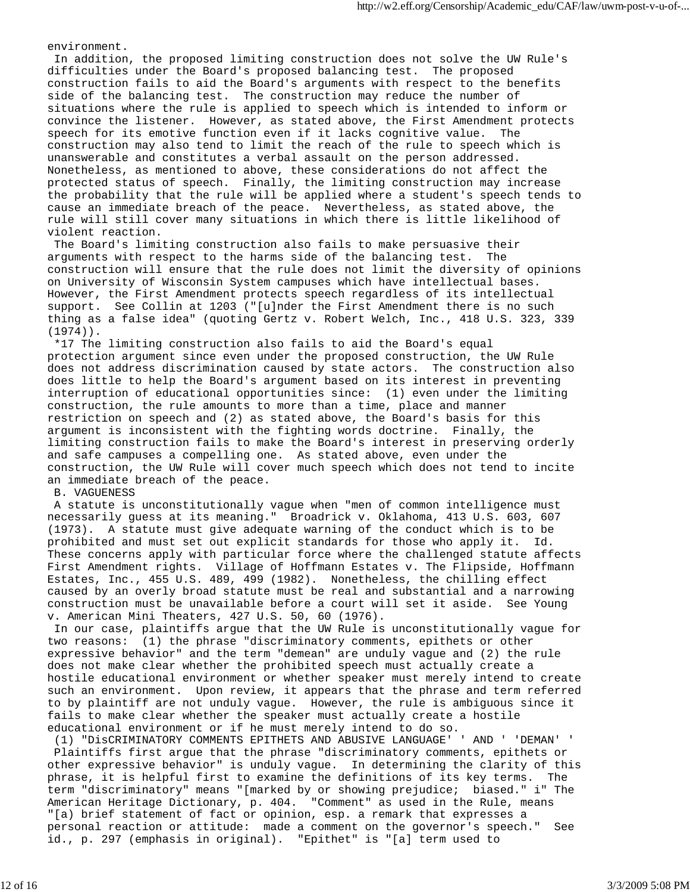environment.

 In addition, the proposed limiting construction does not solve the UW Rule's difficulties under the Board's proposed balancing test. The proposed construction fails to aid the Board's arguments with respect to the benefits side of the balancing test. The construction may reduce the number of situations where the rule is applied to speech which is intended to inform or convince the listener. However, as stated above, the First Amendment protects speech for its emotive function even if it lacks cognitive value. The construction may also tend to limit the reach of the rule to speech which is unanswerable and constitutes a verbal assault on the person addressed. Nonetheless, as mentioned to above, these considerations do not affect the protected status of speech. Finally, the limiting construction may increase the probability that the rule will be applied where a student's speech tends to cause an immediate breach of the peace. Nevertheless, as stated above, the rule will still cover many situations in which there is little likelihood of violent reaction.

 The Board's limiting construction also fails to make persuasive their arguments with respect to the harms side of the balancing test. The construction will ensure that the rule does not limit the diversity of opinions on University of Wisconsin System campuses which have intellectual bases. However, the First Amendment protects speech regardless of its intellectual support. See Collin at 1203 ("[u]nder the First Amendment there is no such thing as a false idea" (quoting Gertz v. Robert Welch, Inc., 418 U.S. 323, 339 (1974)).

 \*17 The limiting construction also fails to aid the Board's equal protection argument since even under the proposed construction, the UW Rule does not address discrimination caused by state actors. The construction also does little to help the Board's argument based on its interest in preventing interruption of educational opportunities since: (1) even under the limiting construction, the rule amounts to more than a time, place and manner restriction on speech and (2) as stated above, the Board's basis for this argument is inconsistent with the fighting words doctrine. Finally, the limiting construction fails to make the Board's interest in preserving orderly and safe campuses a compelling one. As stated above, even under the construction, the UW Rule will cover much speech which does not tend to incite an immediate breach of the peace.

B. VAGUENESS

 A statute is unconstitutionally vague when "men of common intelligence must necessarily guess at its meaning." Broadrick v. Oklahoma, 413 U.S. 603, 607 (1973). A statute must give adequate warning of the conduct which is to be prohibited and must set out explicit standards for those who apply it. Id. These concerns apply with particular force where the challenged statute affects First Amendment rights. Village of Hoffmann Estates v. The Flipside, Hoffmann Estates, Inc., 455 U.S. 489, 499 (1982). Nonetheless, the chilling effect caused by an overly broad statute must be real and substantial and a narrowing construction must be unavailable before a court will set it aside. See Young v. American Mini Theaters, 427 U.S. 50, 60 (1976).

 In our case, plaintiffs argue that the UW Rule is unconstitutionally vague for two reasons: (1) the phrase "discriminatory comments, epithets or other expressive behavior" and the term "demean" are unduly vague and (2) the rule does not make clear whether the prohibited speech must actually create a hostile educational environment or whether speaker must merely intend to create such an environment. Upon review, it appears that the phrase and term referred to by plaintiff are not unduly vague. However, the rule is ambiguous since it fails to make clear whether the speaker must actually create a hostile educational environment or if he must merely intend to do so.

 (1) "DisCRIMINATORY COMMENTS EPITHETS AND ABUSIVE LANGUAGE' ' AND ' 'DEMAN' ' Plaintiffs first argue that the phrase "discriminatory comments, epithets or other expressive behavior" is unduly vague. In determining the clarity of this phrase, it is helpful first to examine the definitions of its key terms. The term "discriminatory" means "[marked by or showing prejudice; biased." i" The American Heritage Dictionary, p. 404. "Comment" as used in the Rule, means "[a) brief statement of fact or opinion, esp. a remark that expresses a personal reaction or attitude: made a comment on the governor's speech." See id., p. 297 (emphasis in original). "Epithet" is "[a] term used to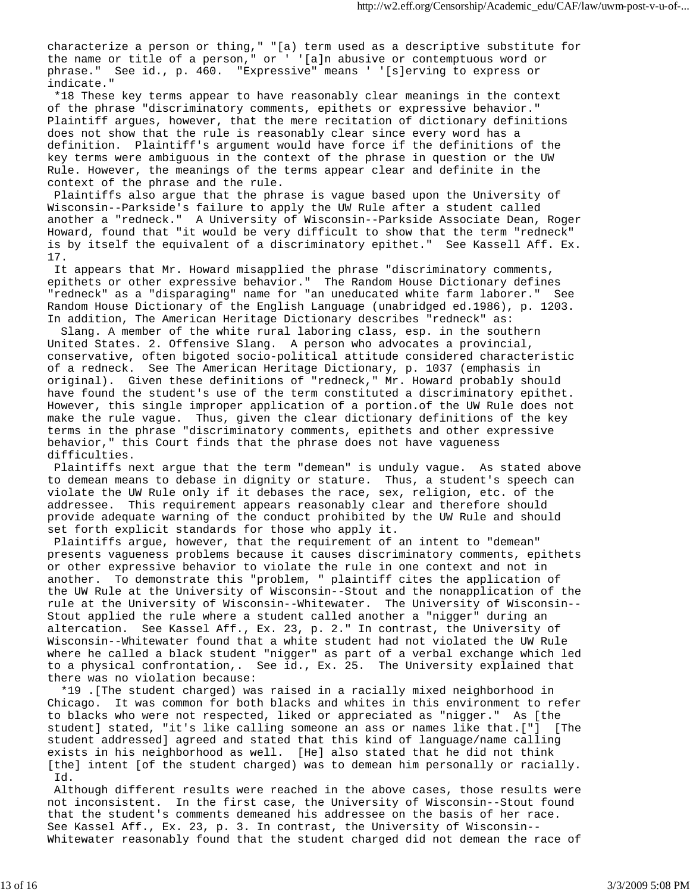characterize a person or thing," "[a) term used as a descriptive substitute for the name or title of a person," or ' '[a]n abusive or contemptuous word or phrase." See id., p. 460. "Expressive" means ' '[s]erving to express or indicate."

 \*18 These key terms appear to have reasonably clear meanings in the context of the phrase "discriminatory comments, epithets or expressive behavior." Plaintiff argues, however, that the mere recitation of dictionary definitions does not show that the rule is reasonably clear since every word has a definition. Plaintiff's argument would have force if the definitions of the key terms were ambiguous in the context of the phrase in question or the UW Rule. However, the meanings of the terms appear clear and definite in the context of the phrase and the rule.

 Plaintiffs also argue that the phrase is vague based upon the University of Wisconsin--Parkside's failure to apply the UW Rule after a student called another a "redneck." A University of Wisconsin--Parkside Associate Dean, Roger Howard, found that "it would be very difficult to show that the term "redneck" is by itself the equivalent of a discriminatory epithet." See Kassell Aff. Ex. 17.

 It appears that Mr. Howard misapplied the phrase "discriminatory comments, epithets or other expressive behavior." The Random House Dictionary defines "redneck" as a "disparaging" name for "an uneducated white farm laborer." See Random House Dictionary of the English Language (unabridged ed.1986), p. 1203. In addition, The American Heritage Dictionary describes "redneck" as:

 Slang. A member of the white rural laboring class, esp. in the southern United States. 2. Offensive Slang. A person who advocates a provincial, conservative, often bigoted socio-political attitude considered characteristic of a redneck. See The American Heritage Dictionary, p. 1037 (emphasis in original). Given these definitions of "redneck," Mr. Howard probably should have found the student's use of the term constituted a discriminatory epithet. However, this single improper application of a portion.of the UW Rule does not make the rule vague. Thus, given the clear dictionary definitions of the key terms in the phrase "discriminatory comments, epithets and other expressive behavior," this Court finds that the phrase does not have vagueness difficulties.

 Plaintiffs next argue that the term "demean" is unduly vague. As stated above to demean means to debase in dignity or stature. Thus, a student's speech can violate the UW Rule only if it debases the race, sex, religion, etc. of the addressee. This requirement appears reasonably clear and therefore should provide adequate warning of the conduct prohibited by the UW Rule and should set forth explicit standards for those who apply it.

 Plaintiffs argue, however, that the requirement of an intent to "demean" presents vagueness problems because it causes discriminatory comments, epithets or other expressive behavior to violate the rule in one context and not in another. To demonstrate this "problem, " plaintiff cites the application of the UW Rule at the University of Wisconsin--Stout and the nonapplication of the rule at the University of Wisconsin--Whitewater. The University of Wisconsin-- Stout applied the rule where a student called another a "nigger" during an altercation. See Kassel Aff., Ex. 23, p. 2." In contrast, the University of Wisconsin--Whitewater found that a white student had not violated the UW Rule where he called a black student "nigger" as part of a verbal exchange which led to a physical confrontation,. See id., Ex. 25. The University explained that there was no violation because:

 \*19 .[The student charged) was raised in a racially mixed neighborhood in Chicago. It was common for both blacks and whites in this environment to refer to blacks who were not respected, liked or appreciated as "nigger." As [the student] stated, "it's like calling someone an ass or names like that.["] [The student addressed] agreed and stated that this kind of language/name calling exists in his neighborhood as well. [He] also stated that he did not think [the] intent [of the student charged) was to demean him personally or racially. Id.

 Although different results were reached in the above cases, those results were not inconsistent. In the first case, the University of Wisconsin--Stout found that the student's comments demeaned his addressee on the basis of her race. See Kassel Aff., Ex. 23, p. 3. In contrast, the University of Wisconsin-- Whitewater reasonably found that the student charged did not demean the race of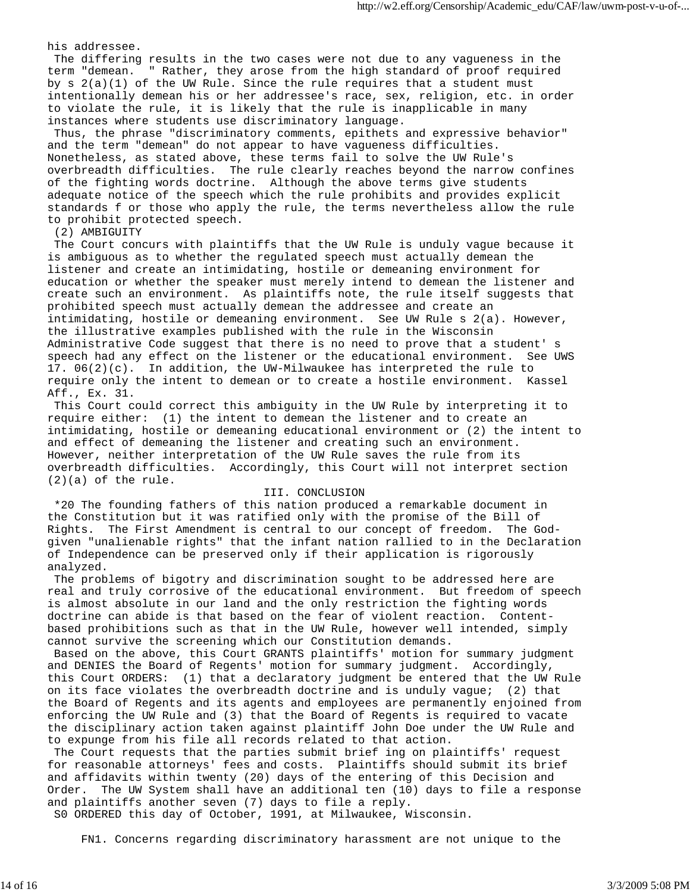his addressee.

 The differing results in the two cases were not due to any vagueness in the term "demean. " Rather, they arose from the high standard of proof required by  $s \ 2(a)(1)$  of the UW Rule. Since the rule requires that a student must intentionally demean his or her addressee's race, sex, religion, etc. in order to violate the rule, it is likely that the rule is inapplicable in many instances where students use discriminatory language.

 Thus, the phrase "discriminatory comments, epithets and expressive behavior" and the term "demean" do not appear to have vagueness difficulties. Nonetheless, as stated above, these terms fail to solve the UW Rule's overbreadth difficulties. The rule clearly reaches beyond the narrow confines of the fighting words doctrine. Although the above terms give students adequate notice of the speech which the rule prohibits and provides explicit standards f or those who apply the rule, the terms nevertheless allow the rule to prohibit protected speech.

## (2) AMBIGUITY

 The Court concurs with plaintiffs that the UW Rule is unduly vague because it is ambiguous as to whether the regulated speech must actually demean the listener and create an intimidating, hostile or demeaning environment for education or whether the speaker must merely intend to demean the listener and create such an environment. As plaintiffs note, the rule itself suggests that prohibited speech must actually demean the addressee and create an intimidating, hostile or demeaning environment. See UW Rule s 2(a). However, the illustrative examples published with the rule in the Wisconsin Administrative Code suggest that there is no need to prove that a student' s speech had any effect on the listener or the educational environment. See UWS 17.  $06(2)(c)$ . In addition, the UW-Milwaukee has interpreted the rule to require only the intent to demean or to create a hostile environment. Kassel Aff., Ex. 31.

 This Court could correct this ambiguity in the UW Rule by interpreting it to require either: (1) the intent to demean the listener and to create an intimidating, hostile or demeaning educational environment or (2) the intent to and effect of demeaning the listener and creating such an environment. However, neither interpretation of the UW Rule saves the rule from its overbreadth difficulties. Accordingly, this Court will not interpret section  $(2)(a)$  of the rule.

## III. CONCLUSION

 \*20 The founding fathers of this nation produced a remarkable document in the Constitution but it was ratified only with the promise of the Bill of Rights. The First Amendment is central to our concept of freedom. The Godgiven "unalienable rights" that the infant nation rallied to in the Declaration of Independence can be preserved only if their application is rigorously analyzed.

 The problems of bigotry and discrimination sought to be addressed here are real and truly corrosive of the educational environment. But freedom of speech is almost absolute in our land and the only restriction the fighting words doctrine can abide is that based on the fear of violent reaction. Contentbased prohibitions such as that in the UW Rule, however well intended, simply cannot survive the screening which our Constitution demands.

 Based on the above, this Court GRANTS plaintiffs' motion for summary judgment and DENIES the Board of Regents' motion for summary judgment. Accordingly, this Court ORDERS: (1) that a declaratory judgment be entered that the UW Rule on its face violates the overbreadth doctrine and is unduly vague; (2) that the Board of Regents and its agents and employees are permanently enjoined from enforcing the UW Rule and (3) that the Board of Regents is required to vacate the disciplinary action taken against plaintiff John Doe under the UW Rule and to expunge from his file all records related to that action.

 The Court requests that the parties submit brief ing on plaintiffs' request for reasonable attorneys' fees and costs. Plaintiffs should submit its brief and affidavits within twenty (20) days of the entering of this Decision and Order. The UW System shall have an additional ten (10) days to file a response and plaintiffs another seven (7) days to file a reply.

S0 ORDERED this day of October, 1991, at Milwaukee, Wisconsin.

FN1. Concerns regarding discriminatory harassment are not unique to the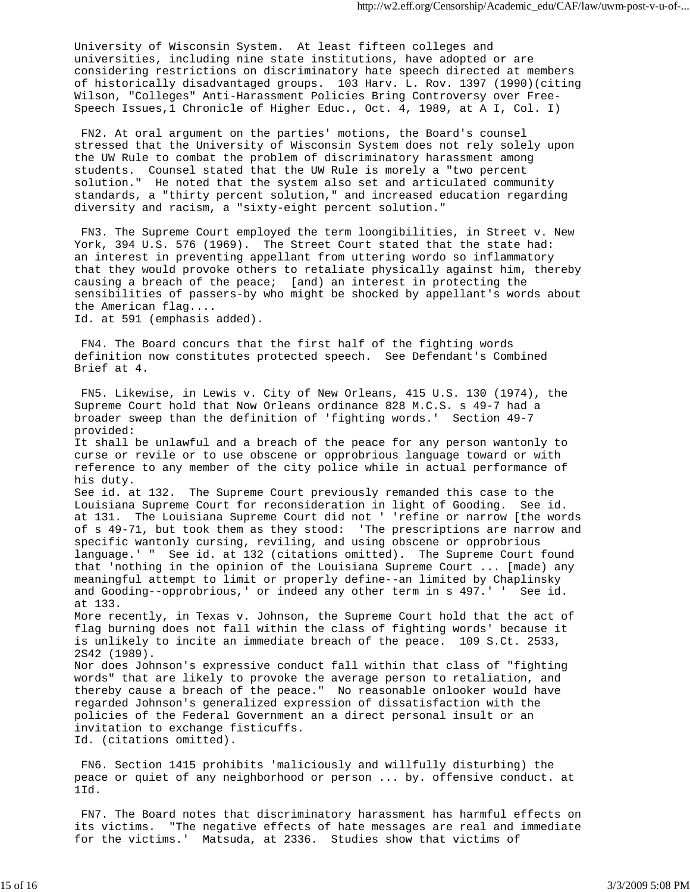University of Wisconsin System. At least fifteen colleges and universities, including nine state institutions, have adopted or are considering restrictions on discriminatory hate speech directed at members of historically disadvantaged groups. 103 Harv. L. Rov. 1397 (1990)(citing Wilson, "Colleges" Anti-Harassment Policies Bring Controversy over Free- Speech Issues,1 Chronicle of Higher Educ., Oct. 4, 1989, at A I, Col. I)

 FN2. At oral argument on the parties' motions, the Board's counsel stressed that the University of Wisconsin System does not rely solely upon the UW Rule to combat the problem of discriminatory harassment among students. Counsel stated that the UW Rule is morely a "two percent solution." He noted that the system also set and articulated community standards, a "thirty percent solution," and increased education regarding diversity and racism, a "sixty-eight percent solution."

 FN3. The Supreme Court employed the term loongibilities, in Street v. New York, 394 U.S. 576 (1969). The Street Court stated that the state had: an interest in preventing appellant from uttering wordo so inflammatory that they would provoke others to retaliate physically against him, thereby causing a breach of the peace; [and) an interest in protecting the sensibilities of passers-by who might be shocked by appellant's words about the American flag....

Id. at 591 (emphasis added).

 FN4. The Board concurs that the first half of the fighting words definition now constitutes protected speech. See Defendant's Combined Brief at 4.

 FN5. Likewise, in Lewis v. City of New Orleans, 415 U.S. 130 (1974), the Supreme Court hold that Now Orleans ordinance 828 M.C.S. s 49-7 had a broader sweep than the definition of 'fighting words.' Section 49-7 provided: It shall be unlawful and a breach of the peace for any person wantonly to curse or revile or to use obscene or opprobrious language toward or with reference to any member of the city police while in actual performance of his duty. See id. at 132. The Supreme Court previously remanded this case to the Louisiana Supreme Court for reconsideration in light of Gooding. See id. at 131. The Louisiana Supreme Court did not ' 'refine or narrow [the words of s 49-71, but took them as they stood: 'The prescriptions are narrow and specific wantonly cursing, reviling, and using obscene or opprobrious language.' " See id. at 132 (citations omitted). The Supreme Court found that 'nothing in the opinion of the Louisiana Supreme Court ... [made) any meaningful attempt to limit or properly define--an limited by Chaplinsky and Gooding--opprobrious,' or indeed any other term in s 497.' ' See id. at 133. More recently, in Texas v. Johnson, the Supreme Court hold that the act of flag burning does not fall within the class of fighting words' because it is unlikely to incite an immediate breach of the peace. 109 S.Ct. 2533, 2S42 (1989). Nor does Johnson's expressive conduct fall within that class of "fighting words" that are likely to provoke the average person to retaliation, and thereby cause a breach of the peace." No reasonable onlooker would have regarded Johnson's generalized expression of dissatisfaction with the policies of the Federal Government an a direct personal insult or an invitation to exchange fisticuffs. Id. (citations omitted).

 FN6. Section 1415 prohibits 'maliciously and willfully disturbing) the peace or quiet of any neighborhood or person ... by. offensive conduct. at 1Id.

 FN7. The Board notes that discriminatory harassment has harmful effects on its victims. "The negative effects of hate messages are real and immediate for the victims.' Matsuda, at 2336. Studies show that victims of